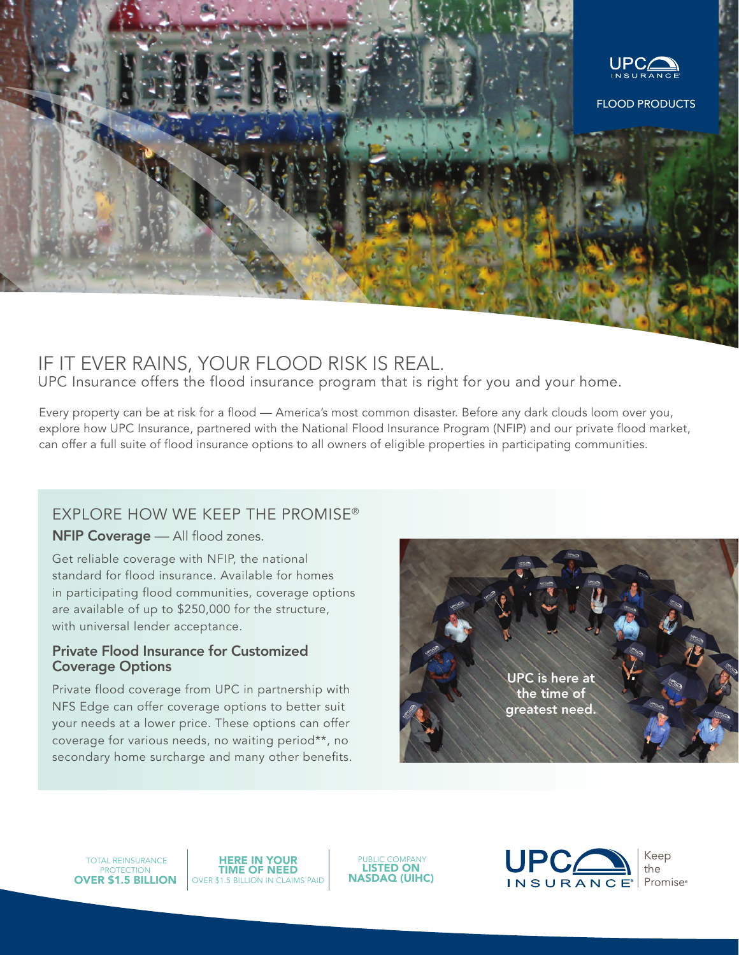

# IF IT EVER RAINS, YOUR FLOOD RISK IS REAL.

UPC Insurance offers the flood insurance program that is right for you and your home.

Every property can be at risk for a flood — America's most common disaster. Before any dark clouds loom over you, explore how UPC Insurance, partnered with the National Flood Insurance Program (NFIP) and our private flood market, can offer a full suite of flood insurance options to all owners of eligible properties in participating communities.

# EXPLORE HOW WE KEEP THE PROMISE®

### NFIP Coverage - All flood zones.

Get reliable coverage with NFIP, the national standard for flood insurance. Available for homes in participating flood communities, coverage options are available of up to \$250,000 for the structure, with universal lender acceptance.

### Private Flood Insurance for Customized Coverage Options

Private flood coverage from UPC in partnership with NFS Edge can offer coverage options to better suit your needs at a lower price. These options can offer coverage for various needs, no waiting period\*\*, no secondary home surcharge and many other benefits.



TOTAL REINSURANCE **PROTECTION** OVER \$1.5 BILLION

HERE IN YOUR TIME OF NEED OVER \$1.5 BILLION IN CLAIMS PAID